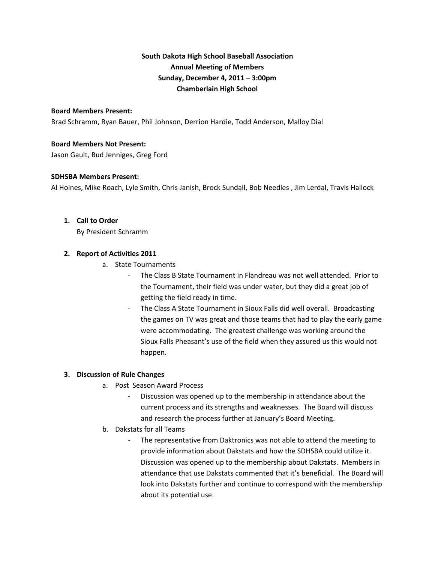# **South Dakota High School Baseball Association Annual Meeting of Members Sunday, December 4, 2011 – 3:00pm Chamberlain High School**

#### **Board Members Present:**

Brad Schramm, Ryan Bauer, Phil Johnson, Derrion Hardie, Todd Anderson, Malloy Dial

## **Board Members Not Present:**

Jason Gault, Bud Jenniges, Greg Ford

#### **SDHSBA Members Present:**

Al Hoines, Mike Roach, Lyle Smith, Chris Janish, Brock Sundall, Bob Needles , Jim Lerdal, Travis Hallock

#### **1. Call to Order**

By President Schramm

## **2. Report of Activities 2011**

- a. State Tournaments
	- ‐ The Class B State Tournament in Flandreau was not well attended. Prior to the Tournament, their field was under water, but they did a great job of getting the field ready in time.
	- ‐ The Class A State Tournament in Sioux Falls did well overall. Broadcasting the games on TV was great and those teams that had to play the early game were accommodating. The greatest challenge was working around the Sioux Falls Pheasant's use of the field when they assured us this would not happen.

## **3. Discussion of Rule Changes**

- a. Post Season Award Process
	- ‐ Discussion was opened up to the membership in attendance about the current process and its strengths and weaknesses. The Board will discuss and research the process further at January's Board Meeting.
- b. Dakstats for all Teams
	- ‐ The representative from Daktronics was not able to attend the meeting to provide information about Dakstats and how the SDHSBA could utilize it. Discussion was opened up to the membership about Dakstats. Members in attendance that use Dakstats commented that it's beneficial. The Board will look into Dakstats further and continue to correspond with the membership about its potential use.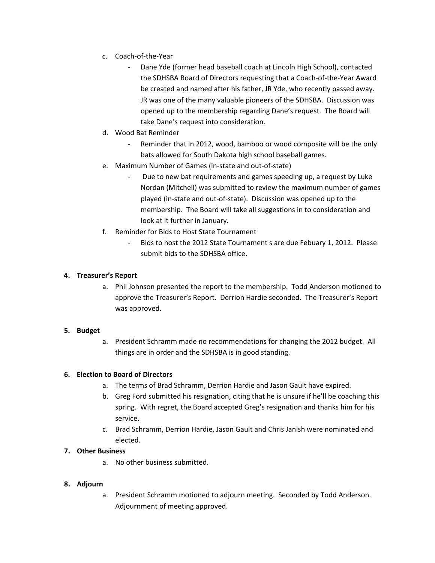- c. Coach‐of‐the‐Year
	- ‐ Dane Yde (former head baseball coach at Lincoln High School), contacted the SDHSBA Board of Directors requesting that a Coach‐of‐the‐Year Award be created and named after his father, JR Yde, who recently passed away. JR was one of the many valuable pioneers of the SDHSBA. Discussion was opened up to the membership regarding Dane's request. The Board will take Dane's request into consideration.
- d. Wood Bat Reminder
	- Reminder that in 2012, wood, bamboo or wood composite will be the only bats allowed for South Dakota high school baseball games.
- e. Maximum Number of Games (in‐state and out‐of‐state)
	- ‐ Due to new bat requirements and games speeding up, a request by Luke Nordan (Mitchell) was submitted to review the maximum number of games played (in‐state and out‐of‐state). Discussion was opened up to the membership. The Board will take all suggestions in to consideration and look at it further in January.
- f. Reminder for Bids to Host State Tournament
	- Bids to host the 2012 State Tournament s are due Febuary 1, 2012. Please submit bids to the SDHSBA office.

## **4. Treasurer's Report**

a. Phil Johnson presented the report to the membership. Todd Anderson motioned to approve the Treasurer's Report. Derrion Hardie seconded. The Treasurer's Report was approved.

# **5. Budget**

a. President Schramm made no recommendations for changing the 2012 budget. All things are in order and the SDHSBA is in good standing.

# **6. Election to Board of Directors**

- a. The terms of Brad Schramm, Derrion Hardie and Jason Gault have expired.
- b. Greg Ford submitted his resignation, citing that he is unsure if he'll be coaching this spring. With regret, the Board accepted Greg's resignation and thanks him for his service.
- c. Brad Schramm, Derrion Hardie, Jason Gault and Chris Janish were nominated and elected.

# **7. Other Business**

a. No other business submitted.

## **8. Adjourn**

a. President Schramm motioned to adjourn meeting. Seconded by Todd Anderson. Adjournment of meeting approved.